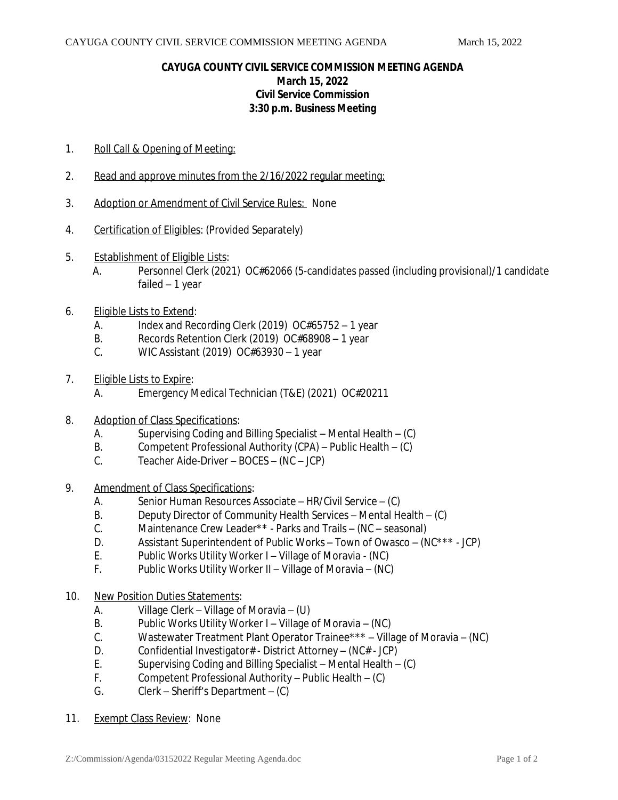## **CAYUGA COUNTY CIVIL SERVICE COMMISSION MEETING AGENDA March 15, 2022 Civil Service Commission 3:30 p.m. Business Meeting**

- 1. Roll Call & Opening of Meeting:
- 2. Read and approve minutes from the 2/16/2022 regular meeting:
- 3. Adoption or Amendment of Civil Service Rules: None
- 4. Certification of Eligibles: (Provided Separately)
- 5. Establishment of Eligible Lists:
	- A. Personnel Clerk (2021) OC#62066 (5-candidates passed (including provisional)/1 candidate failed – 1 year
- 6. Eligible Lists to Extend:
	- A. Index and Recording Clerk (2019) OC#65752 1 year
	- B. Records Retention Clerk (2019) OC#68908 1 year
	- C. WIC Assistant (2019) OC#63930 1 year
- 7. Eligible Lists to Expire:
	- A. Emergency Medical Technician (T&E) (2021) OC#20211
- 8. Adoption of Class Specifications:
	- A. Supervising Coding and Billing Specialist Mental Health (C)
	- B. Competent Professional Authority (CPA) Public Health (C)
	- C. Teacher Aide-Driver BOCES (NC JCP)
- 9. Amendment of Class Specifications:
	- A. Senior Human Resources Associate HR/Civil Service (C)
	- B. Deputy Director of Community Health Services Mental Health (C)<br>C. Maintenance Crew Leader\*\* Parks and Trails (NC seasonal)
	- Maintenance Crew Leader\*\* Parks and Trails (NC seasonal)
	- D. Assistant Superintendent of Public Works Town of Owasco (NC\*\*\* JCP)
	- E. Public Works Utility Worker I Village of Moravia (NC)
	- F. Public Works Utility Worker II Village of Moravia (NC)
- 10. New Position Duties Statements:
	- A. Village Clerk Village of Moravia (U)<br>B. Public Works Utility Worker I Village
	- Public Works Utility Worker I Village of Moravia (NC)
	- C. Wastewater Treatment Plant Operator Trainee\*\*\* Village of Moravia (NC)
	- D. Confidential Investigator# District Attorney (NC# JCP)
	- E. Supervising Coding and Billing Specialist Mental Health (C)
	- F. Competent Professional Authority Public Health (C)
	- G. Clerk Sheriff's Department (C)
- 11. Exempt Class Review: None